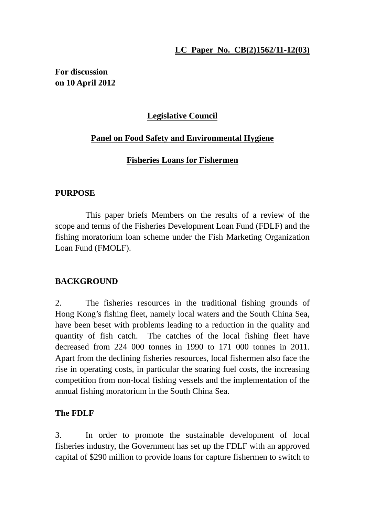### **LC Paper No. CB(2)1562/11-12(03)**

**For discussion on 10 April 2012**

# **Legislative Council**

### **Panel on Food Safety and Environmental Hygiene**

### **Fisheries Loans for Fishermen**

#### **PURPOSE**

This paper briefs Members on the results of a review of the scope and terms of the Fisheries Development Loan Fund (FDLF) and the fishing moratorium loan scheme under the Fish Marketing Organization Loan Fund (FMOLF).

#### **BACKGROUND**

2. The fisheries resources in the traditional fishing grounds of Hong Kong's fishing fleet, namely local waters and the South China Sea, have been beset with problems leading to a reduction in the quality and quantity of fish catch. The catches of the local fishing fleet have decreased from 224 000 tonnes in 1990 to 171 000 tonnes in 2011. Apart from the declining fisheries resources, local fishermen also face the rise in operating costs, in particular the soaring fuel costs, the increasing competition from non-local fishing vessels and the implementation of the annual fishing moratorium in the South China Sea.

#### **The FDLF**

3. In order to promote the sustainable development of local fisheries industry, the Government has set up the FDLF with an approved capital of \$290 million to provide loans for capture fishermen to switch to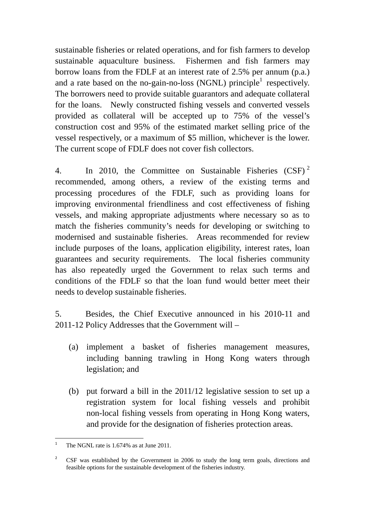sustainable fisheries or related operations, and for fish farmers to develop sustainable aquaculture business. Fishermen and fish farmers may borrow loans from the FDLF at an interest rate of 2.5% per annum (p.a.) and a rate based on the no-gain-no-loss (NGNL) principle<sup>1</sup> respectively. The borrowers need to provide suitable guarantors and adequate collateral for the loans. Newly constructed fishing vessels and converted vessels provided as collateral will be accepted up to 75% of the vessel's construction cost and 95% of the estimated market selling price of the vessel respectively, or a maximum of \$5 million, whichever is the lower. The current scope of FDLF does not cover fish collectors.

4. In 2010, the Committee on Sustainable Fisheries (CSF)<sup>2</sup> recommended, among others, a review of the existing terms and processing procedures of the FDLF, such as providing loans for improving environmental friendliness and cost effectiveness of fishing vessels, and making appropriate adjustments where necessary so as to match the fisheries community's needs for developing or switching to modernised and sustainable fisheries. Areas recommended for review include purposes of the loans, application eligibility, interest rates, loan guarantees and security requirements. The local fisheries community has also repeatedly urged the Government to relax such terms and conditions of the FDLF so that the loan fund would better meet their needs to develop sustainable fisheries.

5. Besides, the Chief Executive announced in his 2010-11 and 2011-12 Policy Addresses that the Government will –

- (a) implement a basket of fisheries management measures, including banning trawling in Hong Kong waters through legislation; and
- (b) put forward a bill in the 2011/12 legislative session to set up a registration system for local fishing vessels and prohibit non-local fishing vessels from operating in Hong Kong waters, and provide for the designation of fisheries protection areas.

 $\frac{1}{1}$ The NGNL rate is 1.674% as at June 2011.

<sup>&</sup>lt;sup>2</sup> CSF was established by the Government in 2006 to study the long term goals, directions and feasible options for the sustainable development of the fisheries industry.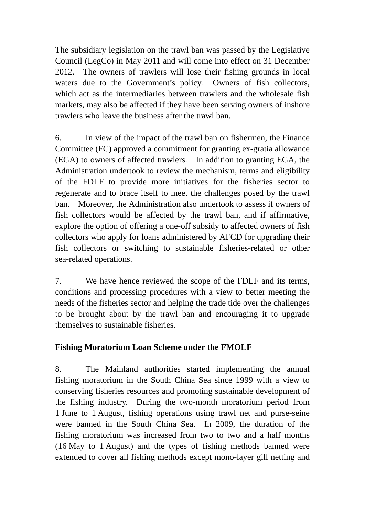The subsidiary legislation on the trawl ban was passed by the Legislative Council (LegCo) in May 2011 and will come into effect on 31 December 2012. The owners of trawlers will lose their fishing grounds in local waters due to the Government's policy. Owners of fish collectors, which act as the intermediaries between trawlers and the wholesale fish markets, may also be affected if they have been serving owners of inshore trawlers who leave the business after the trawl ban.

6. In view of the impact of the trawl ban on fishermen, the Finance Committee (FC) approved a commitment for granting ex-gratia allowance (EGA) to owners of affected trawlers. In addition to granting EGA, the Administration undertook to review the mechanism, terms and eligibility of the FDLF to provide more initiatives for the fisheries sector to regenerate and to brace itself to meet the challenges posed by the trawl ban. Moreover, the Administration also undertook to assess if owners of fish collectors would be affected by the trawl ban, and if affirmative, explore the option of offering a one-off subsidy to affected owners of fish collectors who apply for loans administered by AFCD for upgrading their fish collectors or switching to sustainable fisheries-related or other sea-related operations.

7. We have hence reviewed the scope of the FDLF and its terms, conditions and processing procedures with a view to better meeting the needs of the fisheries sector and helping the trade tide over the challenges to be brought about by the trawl ban and encouraging it to upgrade themselves to sustainable fisheries.

# **Fishing Moratorium Loan Scheme under the FMOLF**

8. The Mainland authorities started implementing the annual fishing moratorium in the South China Sea since 1999 with a view to conserving fisheries resources and promoting sustainable development of the fishing industry. During the two-month moratorium period from 1 June to 1 August, fishing operations using trawl net and purse-seine were banned in the South China Sea. In 2009, the duration of the fishing moratorium was increased from two to two and a half months (16 May to 1 August) and the types of fishing methods banned were extended to cover all fishing methods except mono-layer gill netting and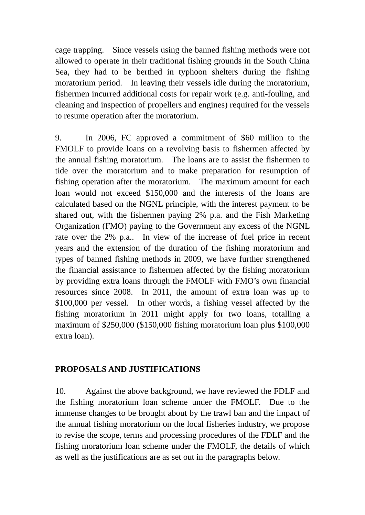cage trapping. Since vessels using the banned fishing methods were not allowed to operate in their traditional fishing grounds in the South China Sea, they had to be berthed in typhoon shelters during the fishing moratorium period. In leaving their vessels idle during the moratorium, fishermen incurred additional costs for repair work (e.g. anti-fouling, and cleaning and inspection of propellers and engines) required for the vessels to resume operation after the moratorium.

9. In 2006, FC approved a commitment of \$60 million to the FMOLF to provide loans on a revolving basis to fishermen affected by the annual fishing moratorium. The loans are to assist the fishermen to tide over the moratorium and to make preparation for resumption of fishing operation after the moratorium. The maximum amount for each loan would not exceed \$150,000 and the interests of the loans are calculated based on the NGNL principle, with the interest payment to be shared out, with the fishermen paying 2% p.a. and the Fish Marketing Organization (FMO) paying to the Government any excess of the NGNL rate over the 2% p.a.. In view of the increase of fuel price in recent years and the extension of the duration of the fishing moratorium and types of banned fishing methods in 2009, we have further strengthened the financial assistance to fishermen affected by the fishing moratorium by providing extra loans through the FMOLF with FMO's own financial resources since 2008. In 2011, the amount of extra loan was up to \$100,000 per vessel. In other words, a fishing vessel affected by the fishing moratorium in 2011 might apply for two loans, totalling a maximum of \$250,000 (\$150,000 fishing moratorium loan plus \$100,000 extra loan).

# **PROPOSALS AND JUSTIFICATIONS**

10. Against the above background, we have reviewed the FDLF and the fishing moratorium loan scheme under the FMOLF. Due to the immense changes to be brought about by the trawl ban and the impact of the annual fishing moratorium on the local fisheries industry, we propose to revise the scope, terms and processing procedures of the FDLF and the fishing moratorium loan scheme under the FMOLF, the details of which as well as the justifications are as set out in the paragraphs below.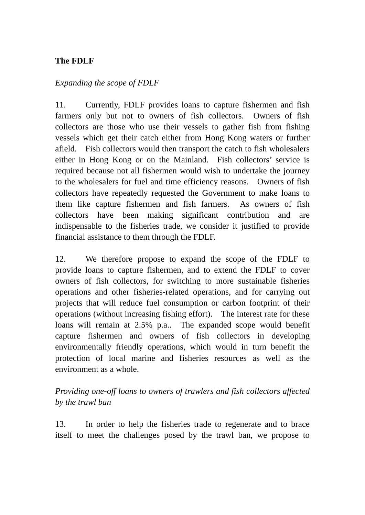# **The FDLF**

#### *Expanding the scope of FDLF*

11. Currently, FDLF provides loans to capture fishermen and fish farmers only but not to owners of fish collectors. Owners of fish collectors are those who use their vessels to gather fish from fishing vessels which get their catch either from Hong Kong waters or further afield. Fish collectors would then transport the catch to fish wholesalers either in Hong Kong or on the Mainland. Fish collectors' service is required because not all fishermen would wish to undertake the journey to the wholesalers for fuel and time efficiency reasons. Owners of fish collectors have repeatedly requested the Government to make loans to them like capture fishermen and fish farmers. As owners of fish collectors have been making significant contribution and are indispensable to the fisheries trade, we consider it justified to provide financial assistance to them through the FDLF.

12. We therefore propose to expand the scope of the FDLF to provide loans to capture fishermen, and to extend the FDLF to cover owners of fish collectors, for switching to more sustainable fisheries operations and other fisheries-related operations, and for carrying out projects that will reduce fuel consumption or carbon footprint of their operations (without increasing fishing effort). The interest rate for these loans will remain at 2.5% p.a.. The expanded scope would benefit capture fishermen and owners of fish collectors in developing environmentally friendly operations, which would in turn benefit the protection of local marine and fisheries resources as well as the environment as a whole.

# *Providing one-off loans to owners of trawlers and fish collectors affected by the trawl ban*

13. In order to help the fisheries trade to regenerate and to brace itself to meet the challenges posed by the trawl ban, we propose to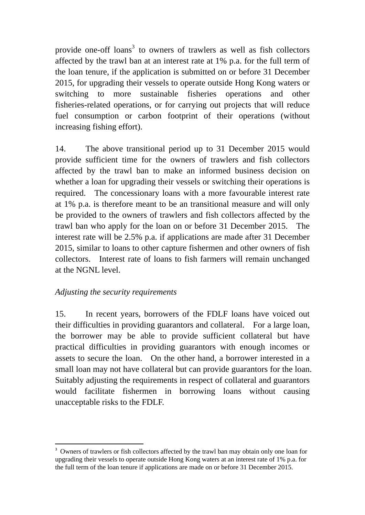provide one-off loans<sup>3</sup> to owners of trawlers as well as fish collectors affected by the trawl ban at an interest rate at 1% p.a. for the full term of the loan tenure, if the application is submitted on or before 31 December 2015, for upgrading their vessels to operate outside Hong Kong waters or switching to more sustainable fisheries operations and other fisheries-related operations, or for carrying out projects that will reduce fuel consumption or carbon footprint of their operations (without increasing fishing effort).

14. The above transitional period up to 31 December 2015 would provide sufficient time for the owners of trawlers and fish collectors affected by the trawl ban to make an informed business decision on whether a loan for upgrading their vessels or switching their operations is required. The concessionary loans with a more favourable interest rate at 1% p.a. is therefore meant to be an transitional measure and will only be provided to the owners of trawlers and fish collectors affected by the trawl ban who apply for the loan on or before 31 December 2015. The interest rate will be 2.5% p.a. if applications are made after 31 December 2015, similar to loans to other capture fishermen and other owners of fish collectors. Interest rate of loans to fish farmers will remain unchanged at the NGNL level.

# *Adjusting the security requirements*

1

15. In recent years, borrowers of the FDLF loans have voiced out their difficulties in providing guarantors and collateral. For a large loan, the borrower may be able to provide sufficient collateral but have practical difficulties in providing guarantors with enough incomes or assets to secure the loan. On the other hand, a borrower interested in a small loan may not have collateral but can provide guarantors for the loan. Suitably adjusting the requirements in respect of collateral and guarantors would facilitate fishermen in borrowing loans without causing unacceptable risks to the FDLF.

<sup>&</sup>lt;sup>3</sup> Owners of trawlers or fish collectors affected by the trawl ban may obtain only one loan for upgrading their vessels to operate outside Hong Kong waters at an interest rate of 1% p.a. for the full term of the loan tenure if applications are made on or before 31 December 2015.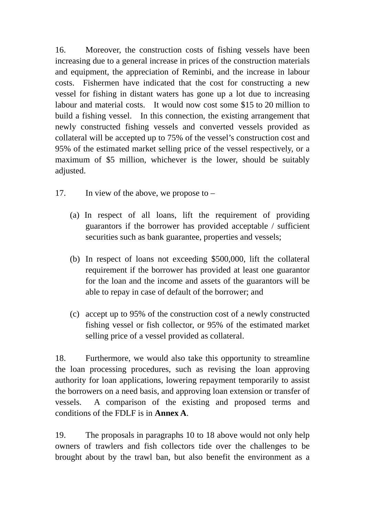16. Moreover, the construction costs of fishing vessels have been increasing due to a general increase in prices of the construction materials and equipment, the appreciation of Reminbi, and the increase in labour costs. Fishermen have indicated that the cost for constructing a new vessel for fishing in distant waters has gone up a lot due to increasing labour and material costs. It would now cost some \$15 to 20 million to build a fishing vessel. In this connection, the existing arrangement that newly constructed fishing vessels and converted vessels provided as collateral will be accepted up to 75% of the vessel's construction cost and 95% of the estimated market selling price of the vessel respectively, or a maximum of \$5 million, whichever is the lower, should be suitably adjusted.

- 17. In view of the above, we propose to
	- (a) In respect of all loans, lift the requirement of providing guarantors if the borrower has provided acceptable / sufficient securities such as bank guarantee, properties and vessels;
	- (b) In respect of loans not exceeding \$500,000, lift the collateral requirement if the borrower has provided at least one guarantor for the loan and the income and assets of the guarantors will be able to repay in case of default of the borrower; and
	- (c) accept up to 95% of the construction cost of a newly constructed fishing vessel or fish collector, or 95% of the estimated market selling price of a vessel provided as collateral.

18. Furthermore, we would also take this opportunity to streamline the loan processing procedures, such as revising the loan approving authority for loan applications, lowering repayment temporarily to assist the borrowers on a need basis, and approving loan extension or transfer of vessels. A comparison of the existing and proposed terms and conditions of the FDLF is in **Annex A**.

19. The proposals in paragraphs 10 to 18 above would not only help owners of trawlers and fish collectors tide over the challenges to be brought about by the trawl ban, but also benefit the environment as a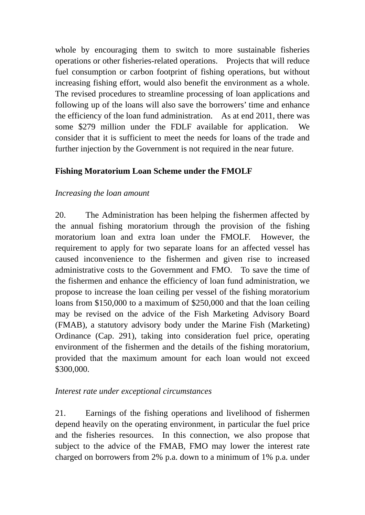whole by encouraging them to switch to more sustainable fisheries operations or other fisheries-related operations. Projects that will reduce fuel consumption or carbon footprint of fishing operations, but without increasing fishing effort, would also benefit the environment as a whole. The revised procedures to streamline processing of loan applications and following up of the loans will also save the borrowers' time and enhance the efficiency of the loan fund administration. As at end 2011, there was some \$279 million under the FDLF available for application. We consider that it is sufficient to meet the needs for loans of the trade and further injection by the Government is not required in the near future.

# **Fishing Moratorium Loan Scheme under the FMOLF**

### *Increasing the loan amount*

20. The Administration has been helping the fishermen affected by the annual fishing moratorium through the provision of the fishing moratorium loan and extra loan under the FMOLF. However, the requirement to apply for two separate loans for an affected vessel has caused inconvenience to the fishermen and given rise to increased administrative costs to the Government and FMO. To save the time of the fishermen and enhance the efficiency of loan fund administration, we propose to increase the loan ceiling per vessel of the fishing moratorium loans from \$150,000 to a maximum of \$250,000 and that the loan ceiling may be revised on the advice of the Fish Marketing Advisory Board (FMAB), a statutory advisory body under the Marine Fish (Marketing) Ordinance (Cap. 291), taking into consideration fuel price, operating environment of the fishermen and the details of the fishing moratorium, provided that the maximum amount for each loan would not exceed \$300,000.

#### *Interest rate under exceptional circumstances*

21. Earnings of the fishing operations and livelihood of fishermen depend heavily on the operating environment, in particular the fuel price and the fisheries resources. In this connection, we also propose that subject to the advice of the FMAB, FMO may lower the interest rate charged on borrowers from 2% p.a. down to a minimum of 1% p.a. under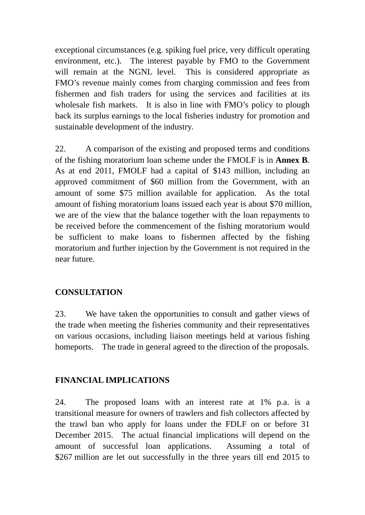exceptional circumstances (e.g. spiking fuel price, very difficult operating environment, etc.). The interest payable by FMO to the Government will remain at the NGNL level. This is considered appropriate as FMO's revenue mainly comes from charging commission and fees from fishermen and fish traders for using the services and facilities at its wholesale fish markets. It is also in line with FMO's policy to plough back its surplus earnings to the local fisheries industry for promotion and sustainable development of the industry.

22. A comparison of the existing and proposed terms and conditions of the fishing moratorium loan scheme under the FMOLF is in **Annex B**. As at end 2011, FMOLF had a capital of \$143 million, including an approved commitment of \$60 million from the Government, with an amount of some \$75 million available for application. As the total amount of fishing moratorium loans issued each year is about \$70 million, we are of the view that the balance together with the loan repayments to be received before the commencement of the fishing moratorium would be sufficient to make loans to fishermen affected by the fishing moratorium and further injection by the Government is not required in the near future.

#### **CONSULTATION**

23. We have taken the opportunities to consult and gather views of the trade when meeting the fisheries community and their representatives on various occasions, including liaison meetings held at various fishing homeports. The trade in general agreed to the direction of the proposals.

# **FINANCIAL IMPLICATIONS**

24. The proposed loans with an interest rate at 1% p.a. is a transitional measure for owners of trawlers and fish collectors affected by the trawl ban who apply for loans under the FDLF on or before 31 December 2015. The actual financial implications will depend on the amount of successful loan applications. Assuming a total of \$267 million are let out successfully in the three years till end 2015 to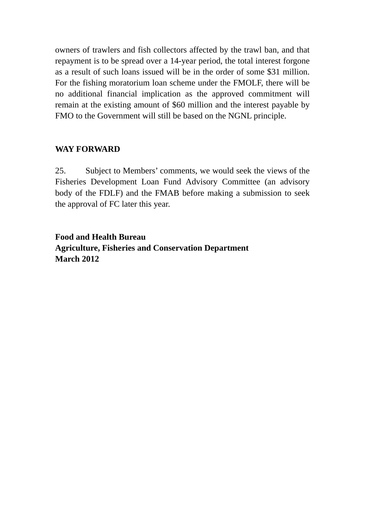owners of trawlers and fish collectors affected by the trawl ban, and that repayment is to be spread over a 14-year period, the total interest forgone as a result of such loans issued will be in the order of some \$31 million. For the fishing moratorium loan scheme under the FMOLF, there will be no additional financial implication as the approved commitment will remain at the existing amount of \$60 million and the interest payable by FMO to the Government will still be based on the NGNL principle.

# **WAY FORWARD**

25. Subject to Members' comments, we would seek the views of the Fisheries Development Loan Fund Advisory Committee (an advisory body of the FDLF) and the FMAB before making a submission to seek the approval of FC later this year.

**Food and Health Bureau Agriculture, Fisheries and Conservation Department March 2012**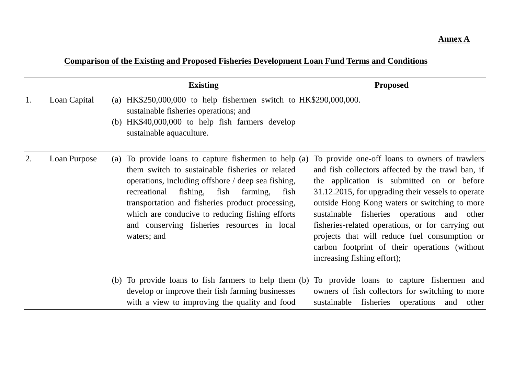# **Annex A**

# **Comparison of the Existing and Proposed Fisheries Development Loan Fund Terms and Conditions**

|    |              | <b>Existing</b>                                                                                                                                                                                                                                                                                                                                                                          | <b>Proposed</b>                                                                                                                                                                                                                                                                                                                                                                                                                                                                              |
|----|--------------|------------------------------------------------------------------------------------------------------------------------------------------------------------------------------------------------------------------------------------------------------------------------------------------------------------------------------------------------------------------------------------------|----------------------------------------------------------------------------------------------------------------------------------------------------------------------------------------------------------------------------------------------------------------------------------------------------------------------------------------------------------------------------------------------------------------------------------------------------------------------------------------------|
| 1. | Loan Capital | (a) HK\$250,000,000 to help fishermen switch to $HK$290,000,000$ .<br>sustainable fisheries operations; and<br>(b) $HK$40,000,000$ to help fish farmers develop<br>sustainable aquaculture.                                                                                                                                                                                              |                                                                                                                                                                                                                                                                                                                                                                                                                                                                                              |
| 2. | Loan Purpose | To provide loans to capture fishermen to help $ (a)$<br>(a)<br>them switch to sustainable fisheries or related<br>operations, including offshore / deep sea fishing,<br>recreational fishing, fish farming,<br>fish<br>transportation and fisheries product processing,<br>which are conducive to reducing fishing efforts<br>and conserving fisheries resources in local<br>waters; and | To provide one-off loans to owners of trawlers<br>and fish collectors affected by the trawl ban, if<br>the application is submitted on or before<br>31.12.2015, for upgrading their vessels to operate<br>outside Hong Kong waters or switching to more<br>sustainable fisheries operations and other<br>fisheries-related operations, or for carrying out<br>projects that will reduce fuel consumption or<br>carbon footprint of their operations (without)<br>increasing fishing effort); |
|    |              | develop or improve their fish farming businesses<br>with a view to improving the quality and food                                                                                                                                                                                                                                                                                        | (b) To provide loans to fish farmers to help them $ $ (b) To provide loans to capture fishermen and<br>owners of fish collectors for switching to more<br>sustainable fisheries operations<br>and<br>other                                                                                                                                                                                                                                                                                   |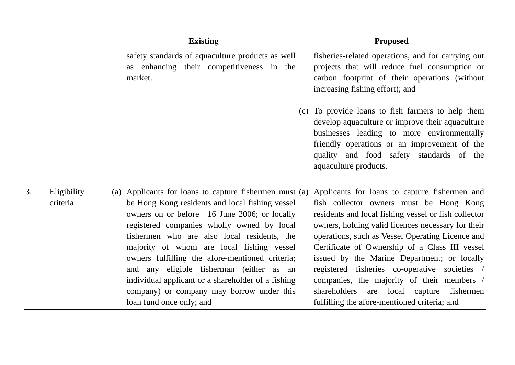|    |                         | <b>Existing</b>                                                                                                                                                                                                                                                                                                                                                                                                                                                                                                                   | <b>Proposed</b>                                                                                                                                                                                                                                                                                                                                                                                                                                                                                                                                           |
|----|-------------------------|-----------------------------------------------------------------------------------------------------------------------------------------------------------------------------------------------------------------------------------------------------------------------------------------------------------------------------------------------------------------------------------------------------------------------------------------------------------------------------------------------------------------------------------|-----------------------------------------------------------------------------------------------------------------------------------------------------------------------------------------------------------------------------------------------------------------------------------------------------------------------------------------------------------------------------------------------------------------------------------------------------------------------------------------------------------------------------------------------------------|
|    |                         | safety standards of aquaculture products as well<br>as enhancing their competitiveness in the<br>market.                                                                                                                                                                                                                                                                                                                                                                                                                          | fisheries-related operations, and for carrying out<br>projects that will reduce fuel consumption or<br>carbon footprint of their operations (without)<br>increasing fishing effort); and                                                                                                                                                                                                                                                                                                                                                                  |
|    |                         |                                                                                                                                                                                                                                                                                                                                                                                                                                                                                                                                   | (c) To provide loans to fish farmers to help them<br>develop aquaculture or improve their aquaculture<br>businesses leading to more environmentally<br>friendly operations or an improvement of the<br>quality and food safety standards of the<br>aquaculture products.                                                                                                                                                                                                                                                                                  |
| 3. | Eligibility<br>criteria | (a) Applicants for loans to capture fishermen must (a)<br>be Hong Kong residents and local fishing vessel<br>owners on or before 16 June 2006; or locally<br>registered companies wholly owned by local<br>fishermen who are also local residents, the<br>majority of whom are local fishing vessel<br>owners fulfilling the afore-mentioned criteria;<br>and any eligible fisherman (either as an<br>individual applicant or a shareholder of a fishing<br>company) or company may borrow under this<br>loan fund once only; and | Applicants for loans to capture fishermen and<br>fish collector owners must be Hong Kong<br>residents and local fishing vessel or fish collector<br>owners, holding valid licences necessary for their<br>operations, such as Vessel Operating Licence and<br>Certificate of Ownership of a Class III vessel<br>issued by the Marine Department; or locally<br>registered fisheries co-operative societies /<br>companies, the majority of their members /<br>local capture fishermen<br>shareholders are<br>fulfilling the afore-mentioned criteria; and |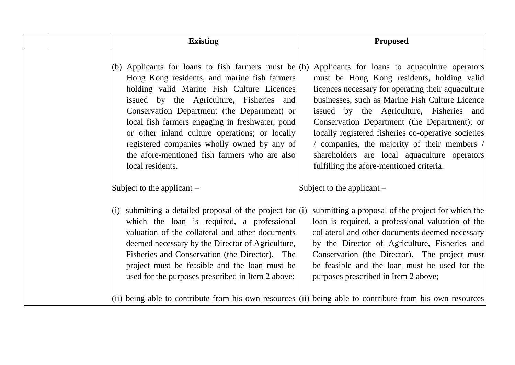| <b>Existing</b>                                                                                                                                                                                                                                                                                                                                                                                                | <b>Proposed</b>                                                                                                                                                                                                                                                                                                                                                                                                                                                                                                                                          |
|----------------------------------------------------------------------------------------------------------------------------------------------------------------------------------------------------------------------------------------------------------------------------------------------------------------------------------------------------------------------------------------------------------------|----------------------------------------------------------------------------------------------------------------------------------------------------------------------------------------------------------------------------------------------------------------------------------------------------------------------------------------------------------------------------------------------------------------------------------------------------------------------------------------------------------------------------------------------------------|
| Hong Kong residents, and marine fish farmers<br>holding valid Marine Fish Culture Licences<br>issued by the Agriculture, Fisheries and<br>Conservation Department (the Department) or<br>local fish farmers engaging in freshwater, pond<br>or other inland culture operations; or locally<br>registered companies wholly owned by any of<br>the afore-mentioned fish farmers who are also<br>local residents. | (b) Applicants for loans to fish farmers must be (b) Applicants for loans to aquaculture operators<br>must be Hong Kong residents, holding valid<br>licences necessary for operating their aquaculture<br>businesses, such as Marine Fish Culture Licence<br>issued by the Agriculture, Fisheries and<br>Conservation Department (the Department); or<br>locally registered fisheries co-operative societies<br>/ companies, the majority of their members /<br>shareholders are local aquaculture operators<br>fulfilling the afore-mentioned criteria. |
| Subject to the applicant $-$                                                                                                                                                                                                                                                                                                                                                                                   | Subject to the applicant $-$                                                                                                                                                                                                                                                                                                                                                                                                                                                                                                                             |
| submitting a detailed proposal of the project for $(i)$<br>(i)<br>which the loan is required, a professional<br>valuation of the collateral and other documents<br>deemed necessary by the Director of Agriculture,<br>Fisheries and Conservation (the Director). The<br>project must be feasible and the loan must be<br>used for the purposes prescribed in Item 2 above;                                    | submitting a proposal of the project for which the<br>loan is required, a professional valuation of the<br>collateral and other documents deemed necessary<br>by the Director of Agriculture, Fisheries and<br>Conservation (the Director). The project must<br>be feasible and the loan must be used for the<br>purposes prescribed in Item 2 above;                                                                                                                                                                                                    |
|                                                                                                                                                                                                                                                                                                                                                                                                                | (ii) being able to contribute from his own resources (ii) being able to contribute from his own resources                                                                                                                                                                                                                                                                                                                                                                                                                                                |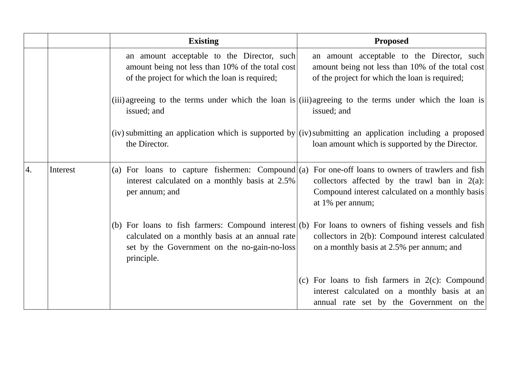|    |          | <b>Existing</b>                                                                                                                                                         | <b>Proposed</b>                                                                                                                                                             |
|----|----------|-------------------------------------------------------------------------------------------------------------------------------------------------------------------------|-----------------------------------------------------------------------------------------------------------------------------------------------------------------------------|
|    |          | an amount acceptable to the Director, such<br>amount being not less than 10% of the total cost<br>of the project for which the loan is required;                        | an amount acceptable to the Director, such<br>amount being not less than 10% of the total cost<br>of the project for which the loan is required;                            |
|    |          | issued; and                                                                                                                                                             | (iii) agreeing to the terms under which the loan is (iii) agreeing to the terms under which the loan is<br>issued; and                                                      |
|    |          | the Director.                                                                                                                                                           | (iv) submitting an application which is supported by $(iv)$ submitting an application including a proposed<br>loan amount which is supported by the Director.               |
| 4. | Interest | (a) For loans to capture fishermen: Compound $(a)$<br>interest calculated on a monthly basis at 2.5%<br>per annum; and                                                  | For one-off loans to owners of trawlers and fish<br>collectors affected by the trawl ban in $2(a)$ :<br>Compound interest calculated on a monthly basis<br>at 1% per annum; |
|    |          | (b) For loans to fish farmers: Compound interest $(b)$<br>calculated on a monthly basis at an annual rate<br>set by the Government on the no-gain-no-loss<br>principle. | For loans to owners of fishing vessels and fish<br>collectors in 2(b): Compound interest calculated<br>on a monthly basis at 2.5% per annum; and                            |
|    |          |                                                                                                                                                                         | (c) For loans to fish farmers in $2(c)$ : Compound<br>interest calculated on a monthly basis at an<br>annual rate set by the Government on the                              |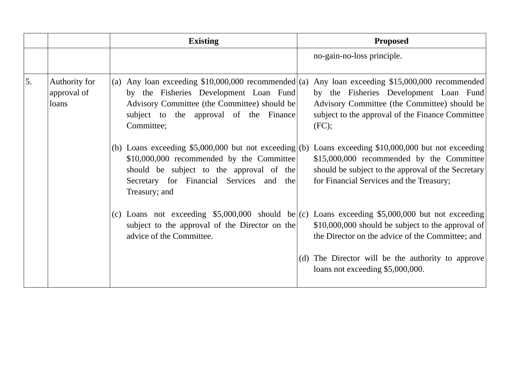|    |                                       | <b>Existing</b>                                                                                                                                                                                              | <b>Proposed</b>                                                                                                                                                                                                                                    |
|----|---------------------------------------|--------------------------------------------------------------------------------------------------------------------------------------------------------------------------------------------------------------|----------------------------------------------------------------------------------------------------------------------------------------------------------------------------------------------------------------------------------------------------|
|    |                                       |                                                                                                                                                                                                              | no-gain-no-loss principle.                                                                                                                                                                                                                         |
| 5. | Authority for<br>approval of<br>loans | (a)<br>by the Fisheries Development Loan Fund<br>Advisory Committee (the Committee) should be<br>subject to the approval of the Finance<br>Committee;                                                        | Any loan exceeding \$10,000,000 recommended (a) Any loan exceeding \$15,000,000 recommended<br>by the Fisheries Development Loan Fund<br>Advisory Committee (the Committee) should be<br>subject to the approval of the Finance Committee<br>(FC); |
|    |                                       | (b) Loans exceeding $$5,000,000$ but not exceeding (b)<br>\$10,000,000 recommended by the Committee<br>should be subject to the approval of the<br>Secretary for Financial Services and the<br>Treasury; and | Loans exceeding \$10,000,000 but not exceeding<br>\$15,000,000 recommended by the Committee<br>should be subject to the approval of the Secretary<br>for Financial Services and the Treasury;                                                      |
|    |                                       | subject to the approval of the Director on the<br>advice of the Committee.                                                                                                                                   | (c) Loans not exceeding \$5,000,000 should be (c) Loans exceeding \$5,000,000 but not exceeding<br>\$10,000,000 should be subject to the approval of<br>the Director on the advice of the Committee; and                                           |
|    |                                       |                                                                                                                                                                                                              | (d) The Director will be the authority to approve<br>loans not exceeding \$5,000,000.                                                                                                                                                              |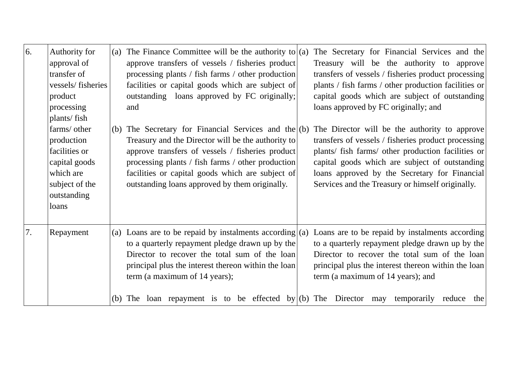| 6. | Authority for<br>approval of<br>transfer of<br>vessels/fisheries<br>product<br>processing<br>plants/fish<br>farms/ other<br>production<br>facilities or<br>capital goods<br>which are<br>subject of the<br>outstanding<br>loans | The Finance Committee will be the authority to $(a)$<br>The Secretary for Financial Services and the<br>(a)<br>approve transfers of vessels / fisheries product<br>Treasury will be the authority to approve<br>processing plants / fish farms / other production<br>transfers of vessels / fisheries product processing<br>facilities or capital goods which are subject of<br>plants / fish farms / other production facilities or<br>outstanding loans approved by FC originally;<br>capital goods which are subject of outstanding<br>loans approved by FC originally; and<br>and<br>(b) The Secretary for Financial Services and the $(b)$<br>The Director will be the authority to approve<br>Treasury and the Director will be the authority to<br>transfers of vessels / fisheries product processing<br>plants/ fish farms/ other production facilities or<br>approve transfers of vessels / fisheries product<br>processing plants / fish farms / other production<br>capital goods which are subject of outstanding<br>facilities or capital goods which are subject of<br>loans approved by the Secretary for Financial<br>outstanding loans approved by them originally.<br>Services and the Treasury or himself originally. |
|----|---------------------------------------------------------------------------------------------------------------------------------------------------------------------------------------------------------------------------------|-------------------------------------------------------------------------------------------------------------------------------------------------------------------------------------------------------------------------------------------------------------------------------------------------------------------------------------------------------------------------------------------------------------------------------------------------------------------------------------------------------------------------------------------------------------------------------------------------------------------------------------------------------------------------------------------------------------------------------------------------------------------------------------------------------------------------------------------------------------------------------------------------------------------------------------------------------------------------------------------------------------------------------------------------------------------------------------------------------------------------------------------------------------------------------------------------------------------------------------------|
| 7. | Repayment                                                                                                                                                                                                                       | (a) Loans are to be repaid by instalments according $(a)$<br>Loans are to be repaid by instalments according<br>to a quarterly repayment pledge drawn up by the<br>to a quarterly repayment pledge drawn up by the<br>Director to recover the total sum of the loan<br>Director to recover the total sum of the loan<br>principal plus the interest thereon within the loan<br>principal plus the interest thereon within the loan<br>term (a maximum of 14 years);<br>term (a maximum of 14 years); and<br>(b) The loan repayment is to be effected by (b) The Director may temporarily reduce the                                                                                                                                                                                                                                                                                                                                                                                                                                                                                                                                                                                                                                       |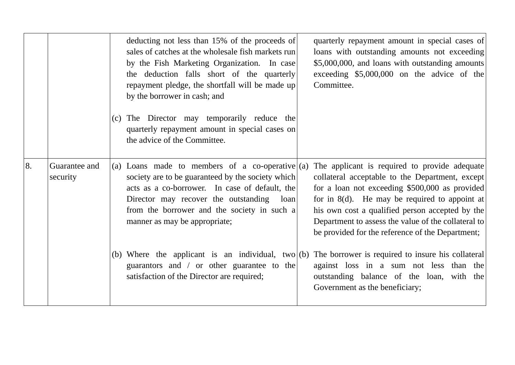|    |                           | deducting not less than 15% of the proceeds of<br>quarterly repayment amount in special cases of<br>sales of catches at the wholesale fish markets run<br>loans with outstanding amounts not exceeding<br>\$5,000,000, and loans with outstanding amounts<br>by the Fish Marketing Organization. In case<br>exceeding $$5,000,000$ on the advice of the<br>the deduction falls short of the quarterly<br>Committee.<br>repayment pledge, the shortfall will be made up<br>by the borrower in cash; and                                                                                                                                                        |
|----|---------------------------|---------------------------------------------------------------------------------------------------------------------------------------------------------------------------------------------------------------------------------------------------------------------------------------------------------------------------------------------------------------------------------------------------------------------------------------------------------------------------------------------------------------------------------------------------------------------------------------------------------------------------------------------------------------|
|    |                           | (c) The Director may temporarily reduce the<br>quarterly repayment amount in special cases on<br>the advice of the Committee.                                                                                                                                                                                                                                                                                                                                                                                                                                                                                                                                 |
| 8. | Guarantee and<br>security | The applicant is required to provide adequate<br>(a) Loans made to members of a co-operative $(a)$<br>society are to be guaranteed by the society which<br>collateral acceptable to the Department, except<br>for a loan not exceeding \$500,000 as provided<br>acts as a co-borrower. In case of default, the<br>for in 8(d). He may be required to appoint at<br>Director may recover the outstanding<br>loan<br>his own cost a qualified person accepted by the<br>from the borrower and the society in such a<br>Department to assess the value of the collateral to<br>manner as may be appropriate;<br>be provided for the reference of the Department; |
|    |                           | (b) Where the applicant is an individual, two (b) The borrower is required to insure his collateral<br>guarantors and / or other guarantee to the<br>against loss in a sum not less than the<br>satisfaction of the Director are required;<br>outstanding balance of the loan, with the<br>Government as the beneficiary;                                                                                                                                                                                                                                                                                                                                     |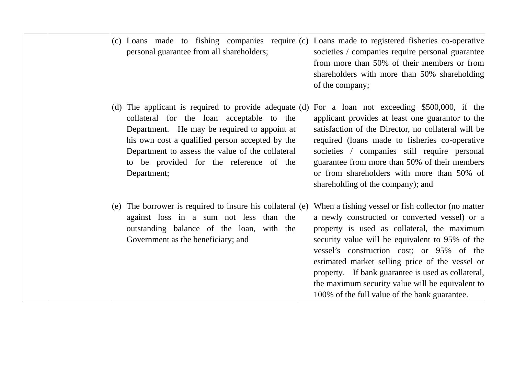| (c) Loans made to fishing companies require $(c)$ Loans made to registered fisheries co-operative<br>personal guarantee from all shareholders;<br>societies / companies require personal guarantee<br>from more than 50% of their members or from<br>shareholders with more than 50% shareholding<br>of the company;                                                                                                                                                                                                                                                                                                                                                                                            |
|-----------------------------------------------------------------------------------------------------------------------------------------------------------------------------------------------------------------------------------------------------------------------------------------------------------------------------------------------------------------------------------------------------------------------------------------------------------------------------------------------------------------------------------------------------------------------------------------------------------------------------------------------------------------------------------------------------------------|
| (d) The applicant is required to provide adequate (d) For a loan not exceeding \$500,000, if the<br>applicant provides at least one guarantor to the<br>collateral for the loan acceptable to the<br>Department. He may be required to appoint at<br>satisfaction of the Director, no collateral will be<br>his own cost a qualified person accepted by the<br>required (loans made to fisheries co-operative<br>Department to assess the value of the collateral<br>societies / companies still require personal<br>guarantee from more than 50% of their members<br>to be provided for the reference of the<br>or from shareholders with more than 50% of<br>Department;<br>shareholding of the company); and |
| (e) The borrower is required to insure his collateral $(e)$<br>When a fishing vessel or fish collector (no matter)<br>against loss in a sum not less than the<br>a newly constructed or converted vessel) or a<br>outstanding balance of the loan, with the<br>property is used as collateral, the maximum<br>Government as the beneficiary; and<br>security value will be equivalent to 95% of the<br>vessel's construction cost; or 95% of the<br>estimated market selling price of the vessel or<br>property. If bank guarantee is used as collateral,<br>the maximum security value will be equivalent to<br>100% of the full value of the bank guarantee.                                                  |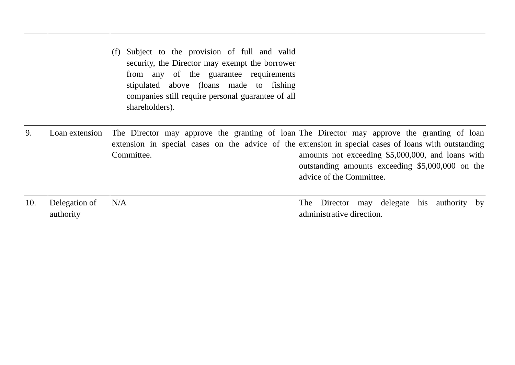|     |                            | Subject to the provision of full and valid<br>security, the Director may exempt the borrower<br>from any of the guarantee requirements<br>stipulated above (loans made to fishing)<br>companies still require personal guarantee of all<br>shareholders). |                                                                                                                                                                                                                                                                                                                                          |
|-----|----------------------------|-----------------------------------------------------------------------------------------------------------------------------------------------------------------------------------------------------------------------------------------------------------|------------------------------------------------------------------------------------------------------------------------------------------------------------------------------------------------------------------------------------------------------------------------------------------------------------------------------------------|
| 9.  | Loan extension             | Committee.                                                                                                                                                                                                                                                | The Director may approve the granting of loan The Director may approve the granting of loan<br>extension in special cases on the advice of the extension in special cases of loans with outstanding<br>amounts not exceeding \$5,000,000, and loans with<br>outstanding amounts exceeding \$5,000,000 on the<br>advice of the Committee. |
| 10. | Delegation of<br>authority | N/A                                                                                                                                                                                                                                                       | The Director may delegate his authority by<br>administrative direction.                                                                                                                                                                                                                                                                  |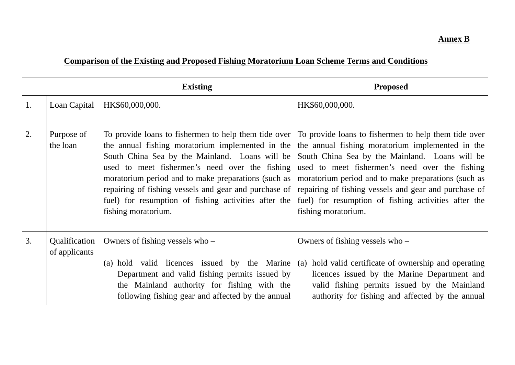#### **Annex B**

# **Comparison of the Existing and Proposed Fishing Moratorium Loan Scheme Terms and Conditions**

|    |                                | <b>Existing</b>                                                                                                                                                                                                                         | <b>Proposed</b>                                                                                                                                                                                                                                                                                                                                                                                                                                                                                                                                                                                                                                                                      |
|----|--------------------------------|-----------------------------------------------------------------------------------------------------------------------------------------------------------------------------------------------------------------------------------------|--------------------------------------------------------------------------------------------------------------------------------------------------------------------------------------------------------------------------------------------------------------------------------------------------------------------------------------------------------------------------------------------------------------------------------------------------------------------------------------------------------------------------------------------------------------------------------------------------------------------------------------------------------------------------------------|
| 1. | Loan Capital                   | HK\$60,000,000.                                                                                                                                                                                                                         | HK\$60,000,000.                                                                                                                                                                                                                                                                                                                                                                                                                                                                                                                                                                                                                                                                      |
| 2. | Purpose of<br>the loan         | used to meet fishermen's need over the fishing<br>fuel) for resumption of fishing activities after the<br>fishing moratorium.                                                                                                           | To provide loans to fishermen to help them tide over To provide loans to fishermen to help them tide over<br>the annual fishing moratorium implemented in the $\vert$ the annual fishing moratorium implemented in the<br>South China Sea by the Mainland. Loans will be South China Sea by the Mainland. Loans will be<br>used to meet fishermen's need over the fishing<br>moratorium period and to make preparations (such as   moratorium period and to make preparations (such as<br>repairing of fishing vessels and gear and purchase of repairing of fishing vessels and gear and purchase of<br>fuel) for resumption of fishing activities after the<br>fishing moratorium. |
| 3. | Qualification<br>of applicants | Owners of fishing vessels who $-$<br>(a) hold valid licences issued by the Marine<br>Department and valid fishing permits issued by<br>the Mainland authority for fishing with the<br>following fishing gear and affected by the annual | Owners of fishing vessels who $-$<br>(a) hold valid certificate of ownership and operating<br>licences issued by the Marine Department and<br>valid fishing permits issued by the Mainland<br>authority for fishing and affected by the annual                                                                                                                                                                                                                                                                                                                                                                                                                                       |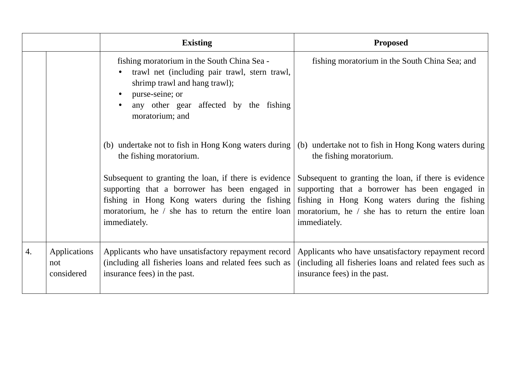|    |                                   | <b>Existing</b>                                                                                                                                                                                                                 | <b>Proposed</b>                                                                                                                                                                                                                 |
|----|-----------------------------------|---------------------------------------------------------------------------------------------------------------------------------------------------------------------------------------------------------------------------------|---------------------------------------------------------------------------------------------------------------------------------------------------------------------------------------------------------------------------------|
|    |                                   | fishing moratorium in the South China Sea -<br>trawl net (including pair trawl, stern trawl,<br>shrimp trawl and hang trawl);<br>purse-seine; or<br>any other gear affected by the fishing<br>moratorium; and                   | fishing moratorium in the South China Sea; and                                                                                                                                                                                  |
|    |                                   | (b) undertake not to fish in Hong Kong waters during<br>the fishing moratorium.                                                                                                                                                 | (b) undertake not to fish in Hong Kong waters during<br>the fishing moratorium.                                                                                                                                                 |
|    |                                   | Subsequent to granting the loan, if there is evidence<br>supporting that a borrower has been engaged in<br>fishing in Hong Kong waters during the fishing<br>moratorium, he / she has to return the entire loan<br>immediately. | Subsequent to granting the loan, if there is evidence<br>supporting that a borrower has been engaged in<br>fishing in Hong Kong waters during the fishing<br>moratorium, he / she has to return the entire loan<br>immediately. |
| 4. | Applications<br>not<br>considered | Applicants who have unsatisfactory repayment record<br>(including all fisheries loans and related fees such as<br>insurance fees) in the past.                                                                                  | Applicants who have unsatisfactory repayment record<br>(including all fisheries loans and related fees such as<br>insurance fees) in the past.                                                                                  |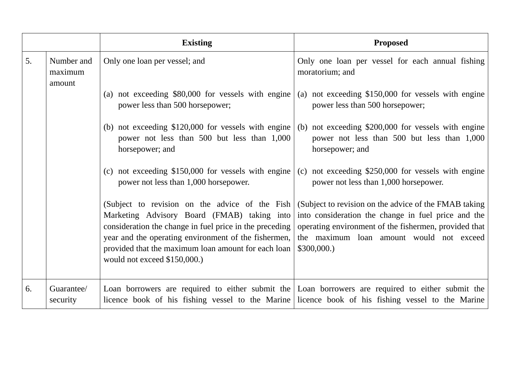|    |                                 | <b>Existing</b>                                                                                                                                                                                                                                                                                         | <b>Proposed</b>                                                                                                                                                                                                                  |
|----|---------------------------------|---------------------------------------------------------------------------------------------------------------------------------------------------------------------------------------------------------------------------------------------------------------------------------------------------------|----------------------------------------------------------------------------------------------------------------------------------------------------------------------------------------------------------------------------------|
| 5. | Number and<br>maximum<br>amount | Only one loan per vessel; and                                                                                                                                                                                                                                                                           | Only one loan per vessel for each annual fishing<br>moratorium; and                                                                                                                                                              |
|    |                                 | (a) not exceeding \$80,000 for vessels with engine<br>power less than 500 horsepower;                                                                                                                                                                                                                   | (a) not exceeding \$150,000 for vessels with engine<br>power less than 500 horsepower;                                                                                                                                           |
|    |                                 | (b) not exceeding $$120,000$ for vessels with engine<br>power not less than 500 but less than 1,000<br>horsepower; and                                                                                                                                                                                  | (b) not exceeding \$200,000 for vessels with engine<br>power not less than 500 but less than 1,000<br>horsepower; and                                                                                                            |
|    |                                 | (c) not exceeding $$150,000$ for vessels with engine<br>power not less than 1,000 horsepower.                                                                                                                                                                                                           | (c) not exceeding $$250,000$ for vessels with engine<br>power not less than 1,000 horsepower.                                                                                                                                    |
|    |                                 | (Subject to revision on the advice of the Fish<br>Marketing Advisory Board (FMAB) taking into<br>consideration the change in fuel price in the preceding<br>year and the operating environment of the fishermen,<br>provided that the maximum loan amount for each loan<br>would not exceed \$150,000.) | (Subject to revision on the advice of the FMAB taking)<br>into consideration the change in fuel price and the<br>operating environment of the fishermen, provided that<br>the maximum loan amount would not exceed<br>\$300,000. |
| 6. | Guarantee/<br>security          |                                                                                                                                                                                                                                                                                                         | Loan borrowers are required to either submit the Loan borrowers are required to either submit the<br>licence book of his fishing vessel to the Marine licence book of his fishing vessel to the Marine                           |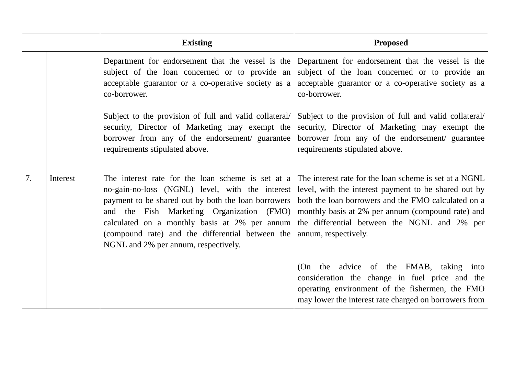|    |          | <b>Existing</b>                                                                                                                                                                                                                                                                                                                                       | <b>Proposed</b>                                                                                                                                                                                                                                                                                    |
|----|----------|-------------------------------------------------------------------------------------------------------------------------------------------------------------------------------------------------------------------------------------------------------------------------------------------------------------------------------------------------------|----------------------------------------------------------------------------------------------------------------------------------------------------------------------------------------------------------------------------------------------------------------------------------------------------|
|    |          | Department for endorsement that the vessel is the $\vert$<br>subject of the loan concerned or to provide an<br>acceptable guarantor or a co-operative society as a<br>co-borrower.                                                                                                                                                                    | Department for endorsement that the vessel is the<br>subject of the loan concerned or to provide an<br>acceptable guarantor or a co-operative society as a<br>co-borrower.                                                                                                                         |
|    |          | Subject to the provision of full and valid collateral/<br>security, Director of Marketing may exempt the<br>borrower from any of the endorsement/ guarantee<br>requirements stipulated above.                                                                                                                                                         | Subject to the provision of full and valid collateral/<br>security, Director of Marketing may exempt the<br>borrower from any of the endorsement/ guarantee<br>requirements stipulated above.                                                                                                      |
| 7. | Interest | The interest rate for the loan scheme is set at a<br>no-gain-no-loss (NGNL) level, with the interest<br>payment to be shared out by both the loan borrowers<br>and the Fish Marketing Organization (FMO)<br>calculated on a monthly basis at 2% per annum<br>(compound rate) and the differential between the<br>NGNL and 2% per annum, respectively. | The interest rate for the loan scheme is set at a NGNL<br>level, with the interest payment to be shared out by<br>both the loan borrowers and the FMO calculated on a<br>monthly basis at 2% per annum (compound rate) and<br>the differential between the NGNL and 2% per<br>annum, respectively. |
|    |          |                                                                                                                                                                                                                                                                                                                                                       | (On the advice of the FMAB, taking into<br>consideration the change in fuel price and the<br>operating environment of the fishermen, the FMO<br>may lower the interest rate charged on borrowers from                                                                                              |